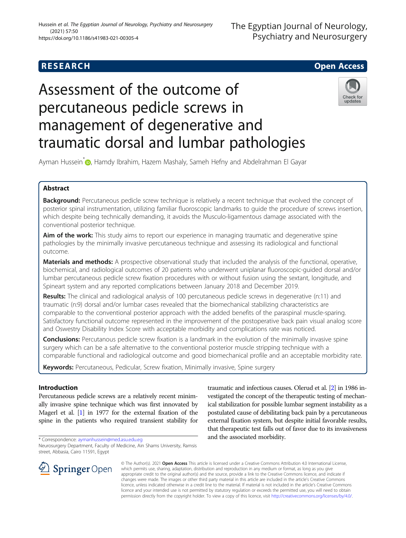# **RESEARCH CHE Open Access**



# Assessment of the outcome of percutaneous pedicle screws in management of degenerative and traumatic dorsal and lumbar pathologies



Ayman Hussein<sup>\*</sup> , Hamdy Ibrahim, Hazem Mashaly, Sameh Hefny and Abdelrahman El Gayar

# Abstract

Background: Percutaneous pedicle screw technique is relatively a recent technique that evolved the concept of posterior spinal instrumentation, utilizing familiar fluoroscopic landmarks to guide the procedure of screws insertion, which despite being technically demanding, it avoids the Musculo-ligamentous damage associated with the conventional posterior technique.

Aim of the work: This study aims to report our experience in managing traumatic and degenerative spine pathologies by the minimally invasive percutaneous technique and assessing its radiological and functional outcome.

**Materials and methods:** A prospective observational study that included the analysis of the functional, operative, biochemical, and radiological outcomes of 20 patients who underwent uniplanar fluoroscopic-guided dorsal and/or lumbar percutaneous pedicle screw fixation procedures with or without fusion using the sextant, longitude, and Spineart system and any reported complications between January 2018 and December 2019.

Results: The clinical and radiological analysis of 100 percutaneous pedicle screws in degenerative (n:11) and traumatic (n:9) dorsal and/or lumbar cases revealed that the biomechanical stabilizing characteristics are comparable to the conventional posterior approach with the added benefits of the paraspinal muscle-sparing. Satisfactory functional outcome represented in the improvement of the postoperative back pain visual analog score and Oswestry Disability Index Score with acceptable morbidity and complications rate was noticed.

**Conclusions:** Percutanous pedicle screw fixation is a landmark in the evolution of the minimally invasive spine surgery which can be a safe alternative to the conventional posterior muscle stripping technique with a comparable functional and radiological outcome and good biomechanical profile and an acceptable morbidity rate.

Keywords: Percutaneous, Pedicular, Screw fixation, Minimally invasive, Spine surgery

# Introduction

Percutaneous pedicle screws are a relatively recent minimally invasive spine technique which was first innovated by Magerl et al. [[1](#page-7-0)] in 1977 for the external fixation of the spine in the patients who required transient stability for

\* Correspondence: [aymanhussein@med.asu.edu.eg](mailto:aymanhussein@med.asu.edu.eg)

Neurosurgery Department, Faculty of Medicine, Ain Shams University, Ramsis street, Abbasia, Cairo 11591, Egypt

traumatic and infectious causes. Olerud et al. [[2](#page-7-0)] in 1986 investigated the concept of the therapeutic testing of mechanical stabilization for possible lumbar segment instability as a postulated cause of debilitating back pain by a percutaneous external fixation system, but despite initial favorable results, that therapeutic test falls out of favor due to its invasiveness and the associated morbidity.



© The Author(s). 2021 Open Access This article is licensed under a Creative Commons Attribution 4.0 International License, which permits use, sharing, adaptation, distribution and reproduction in any medium or format, as long as you give appropriate credit to the original author(s) and the source, provide a link to the Creative Commons licence, and indicate if changes were made. The images or other third party material in this article are included in the article's Creative Commons licence, unless indicated otherwise in a credit line to the material. If material is not included in the article's Creative Commons licence and your intended use is not permitted by statutory regulation or exceeds the permitted use, you will need to obtain permission directly from the copyright holder. To view a copy of this licence, visit <http://creativecommons.org/licenses/by/4.0/>.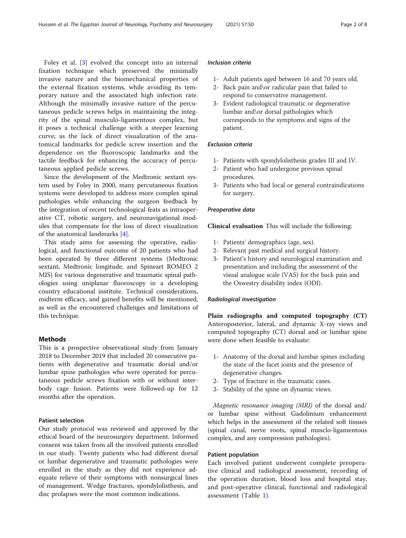Foley et al. [\[3](#page-7-0)] evolved the concept into an internal fixation technique which preserved the minimally invasive nature and the biomechanical properties of the external fixation systems, while avoiding its temporary nature and the associated high infection rate. Although the minimally invasive nature of the percutaneous pedicle screws helps in maintaining the integrity of the spinal musculo-ligamentous complex, but it poses a technical challenge with a steeper learning curve; as the lack of direct visualization of the anatomical landmarks for pedicle screw insertion and the dependence on the fluoroscopic landmarks and the tactile feedback for enhancing the accuracy of percutaneous applied pedicle screws.

Since the development of the Medtronic sextant system used by Foley in 2000, many percutaneous fixation systems were developed to address more complex spinal pathologies while enhancing the surgeon feedback by the integration of recent technological feats as intraoperative CT, robotic surgery, and neuronavigational modules that compensate for the loss of direct visualization of the anatomical landmarks [[4\]](#page-7-0).

This study aims for assessing the operative, radiological, and functional outcome of 20 patients who had been operated by three different systems (Medtronic sextant, Medtronic longitude, and Spineart ROMEO 2 MIS) for various degenerative and traumatic spinal pathologies using uniplanar fluoroscopy in a developing country educational institute. Technical considerations, midterm efficacy, and gained benefits will be mentioned, as well as the encountered challenges and limitations of this technique.

## **Methods**

This is a prospective observational study from January 2018 to December 2019 that included 20 consecutive patients with degenerative and traumatic dorsal and/or lumbar spine pathologies who were operated for percutaneous pedicle screws fixation with or without interbody cage fusion. Patients were followed-up for 12 months after the operation.

# Patient selection

Our study protocol was reviewed and approved by the ethical board of the neurosurgery department. Informed consent was taken from all the involved patients enrolled in our study. Twenty patients who had different dorsal or lumbar degenerative and traumatic pathologies were enrolled in the study as they did not experience adequate relieve of their symptoms with nonsurgical lines of management. Wedge fractures, spondylolisthesis, and disc prolapses were the most common indications.

# Inclusion criteria

- 1- Adult patients aged between 16 and 70 years old.
- 2- Back pain and\or radicular pain that failed to respond to conservative management.
- 3- Evident radiological traumatic or degenerative lumbar and\or dorsal pathologies which corresponds to the symptoms and signs of the patient.

# Exclusion criteria

- 1- Patients with spondylolisthesis grades III and IV.
- 2- Patient who had undergone previous spinal procedures.
- 3- Patients who had local or general contraindications for surgery.

#### Preoperative data

Clinical evaluation This will include the following:

- 1- Patients' demographics (age, sex).
- 2- Relevant past medical and surgical history.
- 3- Patient's history and neurological examination and presentation and including the assessment of the visual analogue scale (VAS) for the back pain and the Oswestry disability index (ODI).

### Radiological investigation

Plain radiographs and computed topography (CT) Anteroposterior, lateral, and dynamic X-ray views and computed topography (CT) dorsal and or lumbar spine were done when feasible to evaluate:

- 1- Anatomy of the dorsal and lumbar spines including the state of the facet joints and the presence of degenerative changes.
- 2- Type of fracture in the traumatic cases.
- 3- Stability of the spine on dynamic views.

Magnetic resonance imaging (MRI) of the dorsal and/ or lumbar spine without Gadolinium enhancement which helps in the assessment of the related soft tissues (spinal canal, nerve roots, spinal musclo-ligamentous complex, and any compression pathologies).

# Patient population

Each involved patient underwent complete preoperative clinical and radiological assessment, recording of the operation duration, blood loss and hospital stay, and post-operative clinical, functional and radiological assessment (Table [1](#page-2-0)).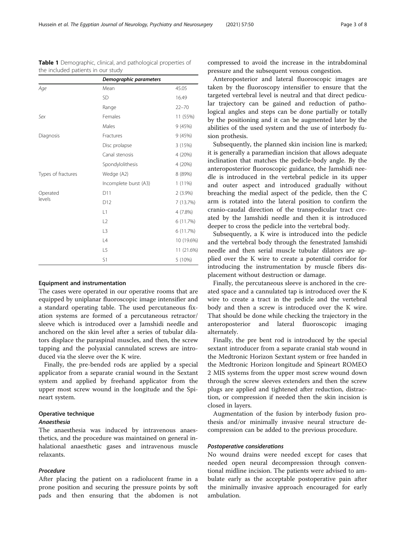Equipment and instrumentation The cases were operated in our operative rooms that are equipped by uniplanar fluoroscopic image intensifier and a standard operating table. The used percutaneous fixation systems are formed of a percutaneous retractor/ sleeve which is introduced over a Jamshidi needle and anchored on the skin level after a series of tubular dilators displace the paraspinal muscles, and then, the screw tapping and the polyaxial cannulated screws are introduced via the sleeve over the K wire.

S1 5 (10%)

Finally, the pre-bended rods are applied by a special applicator from a separate cranial wound in the Sextant system and applied by freehand applicator from the upper most screw wound in the longitude and the Spineart system.

# Operative technique

#### Anaesthesia

The anaesthesia was induced by intravenous anaesthetics, and the procedure was maintained on general inhalational anaesthetic gases and intravenous muscle relaxants.

# Procedure

After placing the patient on a radiolucent frame in a prone position and securing the pressure points by soft pads and then ensuring that the abdomen is not compressed to avoid the increase in the intrabdominal pressure and the subsequent venous congestion.

Anteroposterior and lateral fluoroscopic images are taken by the fluoroscopy intensifier to ensure that the targeted vertebral level is neutral and that direct pedicular trajectory can be gained and reduction of pathological angles and steps can be done partially or totally by the positioning and it can be augmented later by the abilities of the used system and the use of interbody fusion prothesis.

Subsequently, the planned skin incision line is marked; it is generally a paramedian incision that allows adequate inclination that matches the pedicle-body angle. By the anteroposterior fluoroscopic guidance, the Jamshidi needle is introduced in the vertebral pedicle in its upper and outer aspect and introduced gradually without breaching the medial aspect of the pedicle, then the C arm is rotated into the lateral position to confirm the cranio-caudal direction of the transpedicular tract created by the Jamshidi needle and then it is introduced deeper to cross the pedicle into the vertebral body.

Subsequently, a K wire is introduced into the pedicle and the vertebral body through the fenestrated Jamshidi needle and then serial muscle tubular dilators are applied over the K wire to create a potential corridor for introducing the instrumentation by muscle fibers displacement without destruction or damage.

Finally, the percutaneous sleeve is anchored in the created space and a cannulated tap is introduced over the K wire to create a tract in the pedicle and the vertebral body and then a screw is introduced over the K wire. That should be done while checking the trajectory in the anteroposterior and lateral fluoroscopic imaging alternately.

Finally, the pre bent rod is introduced by the special sextant introducer from a separate cranial stab wound in the Medtronic Horizon Sextant system or free handed in the Medtronic Horizon longitude and Spineart ROMEO 2 MIS systems from the upper most screw wound down through the screw sleeves extenders and then the screw plugs are applied and tightened after reduction, distraction, or compression if needed then the skin incision is closed in layers.

Augmentation of the fusion by interbody fusion prothesis and/or minimally invasive neural structure decompression can be added to the previous procedure.

#### Postoperative considerations

No wound drains were needed except for cases that needed open neural decompression through conventional midline incision. The patients were advised to ambulate early as the acceptable postoperative pain after the minimally invasive approach encouraged for early ambulation.

<span id="page-2-0"></span>

| Demographic parameters                                               |  |  |
|----------------------------------------------------------------------|--|--|
| the included patients in our study                                   |  |  |
| <b>Table 1</b> Demographic, clinical, and pathological properties of |  |  |

| Age                | Mean                  | 45.05      |
|--------------------|-----------------------|------------|
|                    | <b>SD</b>             | 16.49      |
|                    | Range                 | $22 - 70$  |
| Sex                | Females               | 11 (55%)   |
|                    | Males                 | 9 (45%)    |
| Diagnosis          | Fractures             | 9 (45%)    |
|                    | Disc prolapse         | 3 (15%)    |
|                    | Canal stenosis        | 4 (20%)    |
|                    | Spondylolithesis      | 4 (20%)    |
| Types of fractures | Wedge (A2)            | 8 (89%)    |
|                    | Incomplete burst (A3) | $1(11\%)$  |
| Operated           | D11                   | $2(3.9\%)$ |
| levels             | D12                   | 7 (13.7%)  |
|                    | L1                    | 4 (7.8%)   |
|                    | L2                    | 6 (11.7%)  |
|                    | L3                    | 6 (11.7%)  |
|                    | L4                    | 10 (19.6%) |
|                    | L5                    | 11 (21.6%) |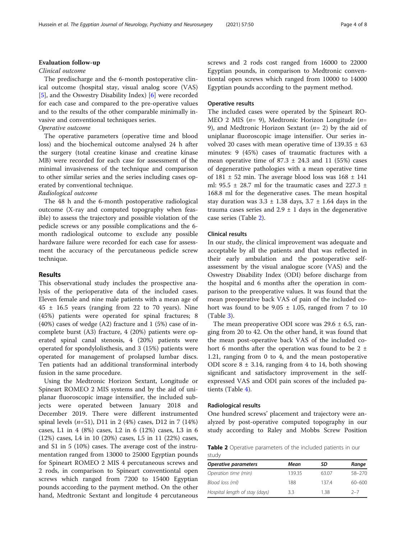# Evaluation follow-up

#### Clinical outcome

The predischarge and the 6-month postoperative clinical outcome (hospital stay, visual analog score (VAS) [[5\]](#page-7-0), and the Oswestry Disability Index) [\[6](#page-7-0)] were recorded for each case and compared to the pre-operative values and to the results of the other comparable minimally invasive and conventional techniques series.

# Operative outcome

The operative parameters (operative time and blood loss) and the biochemical outcome analysed 24 h after the surgery (total creatine kinase and creatine kinase MB) were recorded for each case for assessment of the minimal invasiveness of the technique and comparison to other similar series and the series including cases operated by conventional technique.

# Radiological outcome

The 48 h and the 6-month postoperative radiological outcome (X-ray and computed topography when feasible) to assess the trajectory and possible violation of the pedicle screws or any possible complications and the 6 month radiological outcome to exclude any possible hardware failure were recorded for each case for assessment the accuracy of the percutaneous pedicle screw technique.

# Results

This observational study includes the prospective analysis of the perioperative data of the included cases. Eleven female and nine male patients with a mean age of  $45 \pm 16.5$  years (ranging from 22 to 70 years). Nine (45%) patients were operated for spinal fractures; 8 (40%) cases of wedge (A2) fracture and 1 (5%) case of incomplete burst (A3) fracture, 4 (20%) patients were operated spinal canal stenosis, 4 (20%) patients were operated for spondylolisthesis, and 3 (15%) patients were operated for management of prolapsed lumbar discs. Ten patients had an additional transforminal interbody fusion in the same procedure.

Using the Medtronic Horizon Sextant, Longitude or Spineart ROMEO 2 MIS systems and by the aid of uniplanar fluoroscopic image intensifier, the included subjects were operated between January 2018 and December 2019. There were different instrumented spinal levels ( $n=51$ ), D11 in 2 (4%) cases, D12 in 7 (14%) cases, L1 in 4 (8%) cases, L2 in 6 (12%) cases, L3 in 6 (12%) cases, L4 in 10 (20%) cases, L5 in 11 (22%) cases, and S1 in 5 (10%) cases. The average cost of the instrumentation ranged from 13000 to 25000 Egyptian pounds for Spineart ROMEO 2 MIS 4 percutaneous screws and 2 rods, in comparison to Spineart conventiontal open screws which ranged from 7200 to 15400 Egyptian pounds according to the payment method. On the other hand, Medtronic Sextant and longitude 4 percutaneous screws and 2 rods cost ranged from 16000 to 22000 Egyptian pounds, in comparison to Medtronic conventiontal open screws which ranged from 10000 to 14000 Egyptian pounds according to the payment method.

#### Operative results

The included cases were operated by the Spineart RO-MEO 2 MIS ( $n= 9$ ), Medtronic Horizon Longitude ( $n=$ 9), and Medtronic Horizon Sextant  $(n=2)$  by the aid of uniplanar fluoroscopic image intensifier. Our series involved 20 cases with mean operative time of  $139.35 \pm 63$ minutes: 9 (45%) cases of traumatic fractures with a mean operative time of  $87.3 \pm 24.3$  and 11 (55%) cases of degenerative pathologies with a mean operative time of  $181 \pm 52$  min. The average blood loss was  $168 \pm 141$ ml: 95.5  $\pm$  28.7 ml for the traumatic cases and 227.3  $\pm$ 168.8 ml for the degenerative cases. The mean hospital stay duration was  $3.3 \pm 1.38$  days,  $3.7 \pm 1.64$  days in the trauma cases series and  $2.9 \pm 1$  days in the degenerative case series (Table 2).

# Clinical results

In our study, the clinical improvement was adequate and acceptable by all the patients and that was reflected in their early ambulation and the postoperative selfassessment by the visual analogue score (VAS) and the Oswestry Disability Index (ODI) before discharge from the hospital and 6 months after the operation in comparison to the preoperative values. It was found that the mean preoperative back VAS of pain of the included cohort was found to be  $9.05 \pm 1.05$ , ranged from 7 to 10 (Table [3\)](#page-4-0).

The mean preoperative ODI score was  $29.6 \pm 6.5$ , ranging from 20 to 42. On the other hand, it was found that the mean post-operative back VAS of the included cohort 6 months after the operation was found to be 2  $\pm$ 1.21, ranging from 0 to 4, and the mean postoperative ODI score  $8 \pm 3.14$ , ranging from 4 to 14, both showing significant and satisfactory improvement in the selfexpressed VAS and ODI pain scores of the included patients (Table [4](#page-4-0)).

#### Radiological results

One hundred screws' placement and trajectory were analyzed by post-operative computed topography in our study according to Raley and Mobbs Screw Position

Table 2 Operative parameters of the included patients in our study

| Operative parameters           | Mean   | SD    | Range      |
|--------------------------------|--------|-------|------------|
| Operation time (min)           | 139.35 | 63.07 | $58 - 270$ |
| Blood loss (ml)                | 188    | 1374  | $60 - 600$ |
| Hospital length of stay (days) | 3.3    | 1.38  | $2 - 7$    |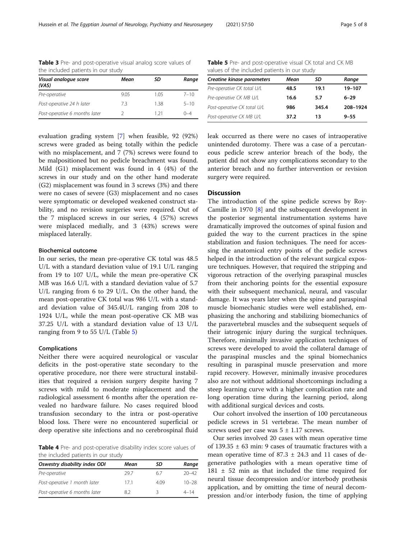| the included patients in our study |      |      |          |
|------------------------------------|------|------|----------|
| Visual analogue score<br>(VAS)     | Mean | SD   | Range    |
| Pre-operative                      | 9.05 | 1.05 | $7 - 10$ |
| Post-operative 24 h later          | 7.3  | 138  | $5 - 10$ |
| Post-operative 6 months later      |      | 121  | $0 - 4$  |

<span id="page-4-0"></span>Table 3 Pre- and post-operative visual analog score values of the included patients in our study

Table 5 Pre- and post-operative visual CK total and CK MB values of the included patients in our study

| <b>Creatine kinase parameters</b> | Mean | SD    | Range    |
|-----------------------------------|------|-------|----------|
| Pre-operative CK total U/L        | 48.5 | 19.1  | 19-107   |
| Pre-operative CK MB U/L           | 16.6 | 5.7   | $6 - 29$ |
| Post-operative CK total U/L       | 986  | 345.4 | 208-1924 |
| Post-operative CK MB U/L          | 37.2 | 13    | $9 - 55$ |

evaluation grading system [\[7](#page-7-0)] when feasible, 92 (92%) screws were graded as being totally within the pedicle with no misplacement, and 7 (7%) screws were found to be malpositioned but no pedicle breachment was found. Mild (G1) misplacement was found in 4 (4%) of the screws in our study and on the other hand moderate (G2) misplacement was found in 3 screws (3%) and there were no cases of severe (G3) misplacement and no cases were symptomatic or developed weakened construct stability, and no revision surgeries were required. Out of the 7 misplaced screws in our series, 4 (57%) screws were misplaced medially, and 3 (43%) screws were misplaced laterally.

# Biochemical outcome

In our series, the mean pre-operative CK total was 48.5 U/L with a standard deviation value of 19.1 U/L ranging from 19 to 107 U/L, while the mean pre-operative CK MB was 16.6 U/L with a standard deviation value of 5.7 U/L ranging from 6 to 29 U/L. On the other hand, the mean post-operative CK total was 986 U/L with a standard deviation value of 345.4U/L ranging from 208 to 1924 U/L, while the mean post-operative CK MB was 37.25 U/L with a standard deviation value of 13 U/L ranging from 9 to 55 U/L (Table 5)

# Complications

Neither there were acquired neurological or vascular deficits in the post-operative state secondary to the operative procedure, nor there were structural instabilities that required a revision surgery despite having 7 screws with mild to moderate misplacement and the radiological assessment 6 months after the operation revealed no hardware failure. No cases required blood transfusion secondary to the intra or post-operative blood loss. There were no encountered superficial or deep operative site infections and no cerebrospinal fluid

Table 4 Pre- and post-operative disability index score values of the included patients in our study

| Oswestry disability index ODI | Mean | SD   | Range     |
|-------------------------------|------|------|-----------|
| Pre-operative                 | 297  | 67   | $20 - 42$ |
| Post-operative 1 month later  | 171  | 4.09 | $10 - 28$ |
| Post-operative 6 months later | 8.2  |      | $4 - 14$  |

leak occurred as there were no cases of intraoperative unintended durotomy. There was a case of a percutaneous pedicle screw anterior breach of the body, the patient did not show any complications secondary to the anterior breach and no further intervention or revision surgery were required.

# **Discussion**

The introduction of the spine pedicle screws by Roy-Camille in 1970 [[8\]](#page-7-0) and the subsequent development in the posterior segmental instrumentation systems have dramatically improved the outcomes of spinal fusion and guided the way to the current practices in the spine stabilization and fusion techniques. The need for accessing the anatomical entry points of the pedicle screws helped in the introduction of the relevant surgical exposure techniques. However, that required the stripping and vigorous retraction of the overlying paraspinal muscles from their anchoring points for the essential exposure with their subsequent mechanical, neural, and vascular damage. It was years later when the spine and paraspinal muscle biomechanic studies were well established, emphasizing the anchoring and stabilizing biomechanics of the paravertebral muscles and the subsequent sequels of their iatrogenic injury during the surgical techniques. Therefore, minimally invasive application techniques of screws were developed to avoid the collateral damage of the paraspinal muscles and the spinal biomechanics resulting in paraspinal muscle preservation and more rapid recovery. However, minimally invasive procedures also are not without additional shortcomings including a steep learning curve with a higher complication rate and long operation time during the learning period, along with additional surgical devices and costs.

Our cohort involved the insertion of 100 percutaneous pedicle screws in 51 vertebrae. The mean number of screws used per case was  $5 \pm 1.17$  screws.

Our series involved 20 cases with mean operative time of 139.35  $\pm$  63 min: 9 cases of traumatic fractures with a mean operative time of  $87.3 \pm 24.3$  and 11 cases of degenerative pathologies with a mean operative time of 181 ± 52 min as that included the time required for neural tissue decompression and/or interbody prothesis application, and by omitting the time of neural decompression and/or interbody fusion, the time of applying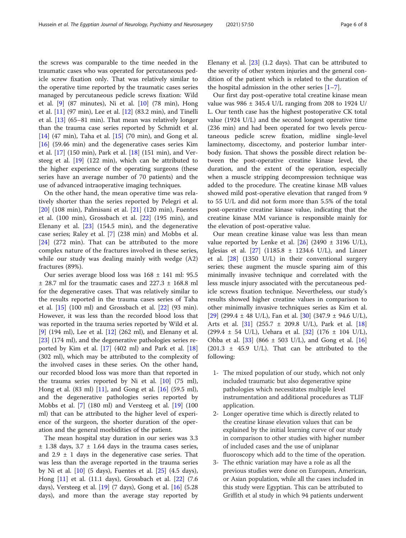the screws was comparable to the time needed in the traumatic cases who was operated for percutaneous pedicle screw fixation only. That was relatively similar to the operative time reported by the traumatic cases series managed by percutaneous pedicle screws fixation: Wild et al. [\[9](#page-7-0)] (87 minutes), Ni et al. [\[10](#page-7-0)] (78 min), Hong et al. [[11](#page-7-0)] (97 min), Lee et al. [\[12](#page-7-0)] (83.2 min), and Tinelli et al. [[13](#page-7-0)] (65–81 min). That mean was relatively longer than the trauma case series reported by Schmidt et al. [[14\]](#page-7-0) (47 min), Taha et al. [\[15](#page-7-0)] (70 min), and Gong et al. [[16\]](#page-7-0) (59.46 min) and the degenerative cases series Kim et al. [[17\]](#page-7-0) (150 min), Park et al. [\[18](#page-7-0)] (151 min), and Versteeg et al.  $[19]$  $[19]$  (122 min), which can be attributed to the higher experience of the operating surgeons (these series have an average number of 70 patients) and the use of advanced intraoperative imaging techniques.

On the other hand, the mean operative time was relatively shorter than the series reported by Pelegri et al. [[20\]](#page-7-0) (108 min), Palmisani et al. [[21\]](#page-7-0) (120 min), Fuentes et al. (100 min), Grossbach et al. [[22\]](#page-7-0) (195 min), and Elenany et al. [[23\]](#page-7-0) (154.5 min), and the degenerative case series; Raley et al. [[7\]](#page-7-0) (238 min) and Mobbs et al. [[24\]](#page-7-0) (272 min). That can be attributed to the more complex nature of the fractures involved in these series, while our study was dealing mainly with wedge (A2) fractures (89%).

Our series average blood loss was 168 ± 141 ml: 95.5  $\pm$  28.7 ml for the traumatic cases and 227.3  $\pm$  168.8 ml for the degenerative cases. That was relatively similar to the results reported in the trauma cases series of Taha et al. [[15](#page-7-0)] (100 ml) and Grossbach et al. [\[22\]](#page-7-0) (93 min). However, it was less than the recorded blood loss that was reported in the trauma series reported by Wild et al. [[9\]](#page-7-0) (194 ml), Lee et al. [[12\]](#page-7-0) (262 ml), and Elenany et al. [[23\]](#page-7-0) (174 ml), and the degenerative pathologies series reported by Kim et al. [[17](#page-7-0)] (402 ml) and Park et al. [[18](#page-7-0)] (302 ml), which may be attributed to the complexity of the involved cases in these series. On the other hand, our recorded blood loss was more than that reported in the trauma series reported by Ni et al. [[10\]](#page-7-0) (75 ml), Hong et al. (83 ml) [\[11\]](#page-7-0), and Gong et al. [\[16](#page-7-0)] (59.5 ml), and the degenerative pathologies series reported by Mobbs et al. [[7\]](#page-7-0) (180 ml) and Versteeg et al. [[19](#page-7-0)] (100 ml) that can be attributed to the higher level of experience of the surgeon, the shorter duration of the operation and the general morbidities of the patient.

The mean hospital stay duration in our series was 3.3  $\pm$  1.38 days, 3.7  $\pm$  1.64 days in the trauma cases series, and  $2.9 \pm 1$  days in the degenerative case series. That was less than the average reported in the trauma series by Ni et al. [[10\]](#page-7-0) (5 days), Fuentes et al. [\[25](#page-7-0)] (4.5 days), Hong [\[11\]](#page-7-0) et al. (11.1 days), Grossbach et al. [[22\]](#page-7-0) (7.6 days), Versteeg et al. [\[19\]](#page-7-0) (7 days), Gong et al. [\[16](#page-7-0)] (5.28 days), and more than the average stay reported by Elenany et al.  $[23]$  $[23]$  (1.2 days). That can be attributed to the severity of other system injuries and the general condition of the patient which is related to the duration of the hospital admission in the other series  $[1-7]$  $[1-7]$  $[1-7]$  $[1-7]$  $[1-7]$ .

Our first day post-operative total creatine kinase mean value was 986 ± 345.4 U/L ranging from 208 to 1924 U/ L. Our tenth case has the highest postoperative CK total value (1924 U/L) and the second longest operative time (236 min) and had been operated for two levels percutaneous pedicle screw fixation, midline single-level laminectomy, discectomy, and posterior lumbar interbody fusion. That shows the possible direct relation between the post-operative creatine kinase level, the duration, and the extent of the operation, especially when a muscle stripping decompression technique was added to the procedure. The creatine kinase MB values showed mild post-operative elevation that ranged from 9 to 55 U/L and did not form more than 5.5% of the total post-operative creatine kinase value, indicating that the creatine kinase MM variance is responsible mainly for the elevation of post-operative value.

Our mean creatine kinase value was less than mean value reported by Lenke et al.  $[26]$  $[26]$  (2490  $\pm$  3196 U/L), Iglesias et al.  $[27]$  $[27]$  $[27]$  (1185.8  $\pm$  1234.6 U/L), and Linzer et al. [[28\]](#page-7-0) (1350 U/L) in their conventional surgery series; these augment the muscle sparing aim of this minimally invasive technique and correlated with the less muscle injury associated with the percutaneous pedicle screws fixation technique. Nevertheless, our study's results showed higher creatine values in comparison to other minimally invasive techniques series as Kim et al. [[29\]](#page-7-0) (299.4  $\pm$  48 U/L), Fan et al. [[30](#page-7-0)] (347.9  $\pm$  94.6 U/L), Arts et al. [[31\]](#page-7-0) (255.7 ± 209.8 U/L), Park et al. [[18](#page-7-0)]  $(299.4 \pm 54 \text{ U/L})$ , Uehara et al.  $[32]$  $[32]$  $[32]$   $(176 \pm 104 \text{ U/L})$ , Ohba et al.  $[33]$  (866  $\pm$  503 U/L), and Gong et al.  $[16]$  $[16]$  $[16]$ (201.3  $\pm$  45.9 U/L). That can be attributed to the following:

- 1- The mixed population of our study, which not only included traumatic but also degenerative spine pathologies which necessitates multiple level instrumentation and additional procedures as TLIF application.
- 2- Longer operative time which is directly related to the creatine kinase elevation values that can be explained by the initial learning curve of our study in comparison to other studies with higher number of included cases and the use of uniplanar fluoroscopy which add to the time of the operation.
- 3- The ethnic variation may have a role as all the previous studies were done on European, American, or Asian population, while all the cases included in this study were Egyptian. This can be attributed to Griffith et al study in which 94 patients underwent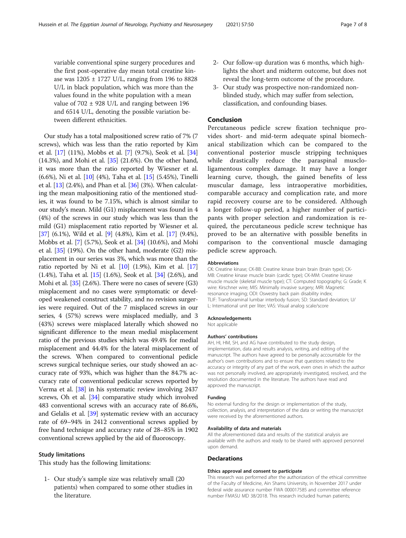variable conventional spine surgery procedures and the first post-operative day mean total creatine kinase was  $1205 \pm 1727$  U/L, ranging from 196 to 8828 U/L in black population, which was more than the values found in the white population with a mean value of  $702 \pm 928$  U/L and ranging between 196 and 6514 U/L, denoting the possible variation between different ethnicities.

Our study has a total malpositioned screw ratio of 7% (7 screws), which was less than the ratio reported by Kim et al. [\[17](#page-7-0)] (11%), Mobbs et al. [\[7](#page-7-0)] (9.7%), Seok et al. [[34](#page-7-0)] (14.3%), and Mohi et al. [[35](#page-7-0)] (21.6%). On the other hand, it was more than the ratio reported by Wiesner et al. (6.6%), Ni et al. [\[10](#page-7-0)] (4%), Taha et al. [[15](#page-7-0)] (5.45%), Tinelli et al. [\[13\]](#page-7-0) (2.4%), and Phan et al. [\[36\]](#page-7-0) (3%). When calculating the mean malpositioning ratio of the mentioned studies, it was found to be 7.15%, which is almost similar to our study's mean. Mild (G1) misplacement was found in 4 (4%) of the screws in our study which was less than the mild (G1) misplacement ratio reported by Wiesner et al. [[37](#page-7-0)] (6.1%), Wild et al. [\[9](#page-7-0)] (4.8%), Kim et al. [\[17\]](#page-7-0) (9.4%), Mobbs et al. [[7\]](#page-7-0) (5.7%), Seok et al. [[34](#page-7-0)] (10.6%), and Mohi et al. [[35\]](#page-7-0) (19%). On the other hand, moderate (G2) misplacement in our series was 3%, which was more than the ratio reported by Ni et al.  $[10]$  $[10]$   $(1.9\%)$ , Kim et al.  $[17]$  $[17]$  $[17]$ (1.4%), Taha et al. [[15\]](#page-7-0) (1.6%), Seok et al. [[34](#page-7-0)] (2.6%), and Mohi et al. [[35](#page-7-0)] (2.6%). There were no cases of severe (G3) misplacement and no cases were symptomatic or developed weakened construct stability, and no revision surgeries were required. Out of the 7 misplaced screws in our series, 4 (57%) screws were misplaced medially, and 3 (43%) screws were misplaced laterally which showed no significant difference to the mean medial misplacement ratio of the previous studies which was 49.4% for medial misplacement and 44.4% for the lateral misplacement of the screws. When compared to conventional pedicle screws surgical technique series, our study showed an accuracy rate of 93%, which was higher than the 84.7% accuracy rate of conventional pedicular screws reported by Verma et al. [[38](#page-7-0)] in his systematic review involving 2437 screws, Oh et al. [[34](#page-7-0)] comparative study which involved 483 conventional screws with an accuracy rate of 86.6%, and Gelalis et al. [\[39](#page-7-0)] systematic review with an accuracy rate of 69–94% in 2412 conventional screws applied by free hand technique and accuracy rate of 28–85% in 1902 conventional screws applied by the aid of fluoroscopy.

#### Study limitations

This study has the following limitations:

1- Our study's sample size was relatively small (20 patients) when compared to some other studies in the literature.

- 2- Our follow-up duration was 6 months, which highlights the short and midterm outcome, but does not reveal the long-term outcome of the procedure.
- 3- Our study was prospective non-randomized nonblinded study, which may suffer from selection, classification, and confounding biases.

# Conclusion

Percutaneous pedicle screw fixation technique provides short- and mid-term adequate spinal biomechanical stabilization which can be compared to the conventional posterior muscle stripping techniques while drastically reduce the paraspinal muscloligamentous complex damage. It may have a longer learning curve, though, the gained benefits of less muscular damage, less intraoperative morbidities, comparable accuracy and complication rate, and more rapid recovery course are to be considered. Although a longer follow-up period, a higher number of participants with proper selection and randomization is required, the percutaneous pedicle screw technique has proved to be an alternative with possible benefits in comparison to the conventional muscle damaging pedicle screw approach.

#### Abbreviations

CK: Creatine kinase; CK-BB: Creatine kinase brain brain (brain type); CK-MB: Creatine kinase muscle brain (cardic type); CK-MM: Creatine kinase muscle muscle (skeletal muscle type); CT: Computed topography; G: Grade; K wire: Kirschner wire; MIS: Minimally invasive surgery; MRI: Magnetic resonance imaging; ODI: Oswestry back pain disability index; TLIF: Transforaminal lumbar interbody fusion; SD: Standard deviation; U/ L: International unit per liter; VAS: Visual analog scale/score

#### Acknowledgements

Not applicable

#### Authors' contributions

AH, HI, HM, SH, and AG have contributed to the study design, implementation, data and results analysis, writing, and editing of the manuscript. The authors have agreed to be personally accountable for the author's own contributions and to ensure that questions related to the accuracy or integrity of any part of the work, even ones in which the author was not personally involved, are appropriately investigated, resolved, and the resolution documented in the literature. The authors have read and approved the manuscript.

#### Funding

No external funding for the design or implementation of the study, collection, analysis, and interpretation of the data or writing the manuscript were received by the aforementioned authors.

#### Availability of data and materials

All the aforementioned data and results of the statistical analysis are available with the authors and ready to be shared with approved personnel upon demand.

#### **Declarations**

#### Ethics approval and consent to participate

This research was performed after the authorization of the ethical committee of the Faculty of Medicine, Ain Shams University, in November 2017 under federal wide assurance number FWA 000017585 and committee reference number FMASU MD 38/2018. This research included human patients;